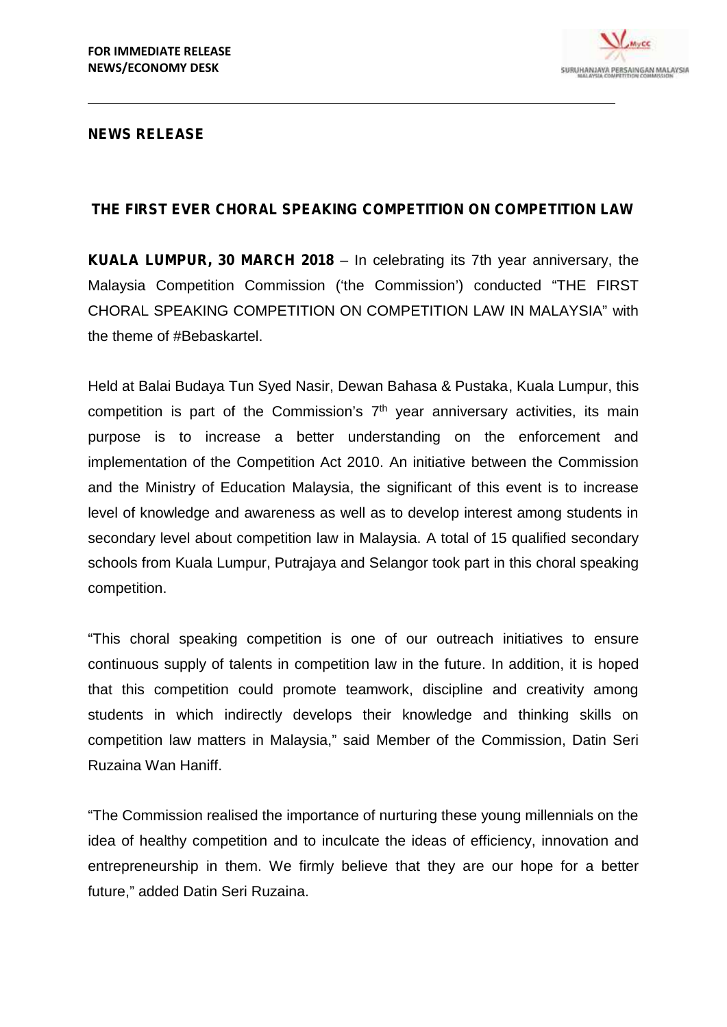

## **NEWS RELEASE**

## **THE FIRST EVER CHORAL SPEAKING COMPETITION ON COMPETITION LAW**

**KUALA LUMPUR, 30 MARCH 2018** – In celebrating its 7th year anniversary, the Malaysia Competition Commission ('the Commission') conducted "THE FIRST CHORAL SPEAKING COMPETITION ON COMPETITION LAW IN MALAYSIA" with the theme of #Bebaskartel.

Held at Balai Budaya Tun Syed Nasir, Dewan Bahasa & Pustaka, Kuala Lumpur, this competition is part of the Commission's 7<sup>th</sup> year anniversary activities, its main purpose is to increase a better understanding on the enforcement and implementation of the Competition Act 2010. An initiative between the Commission and the Ministry of Education Malaysia, the significant of this event is to increase level of knowledge and awareness as well as to develop interest among students in secondary level about competition law in Malaysia. A total of 15 qualified secondary schools from Kuala Lumpur, Putrajaya and Selangor took part in this choral speaking competition.

"This choral speaking competition is one of our outreach initiatives to ensure continuous supply of talents in competition law in the future. In addition, it is hoped that this competition could promote teamwork, discipline and creativity among students in which indirectly develops their knowledge and thinking skills on competition law matters in Malaysia," said Member of the Commission, Datin Seri Ruzaina Wan Haniff.

"The Commission realised the importance of nurturing these young millennials on the idea of healthy competition and to inculcate the ideas of efficiency, innovation and entrepreneurship in them. We firmly believe that they are our hope for a better future," added Datin Seri Ruzaina.